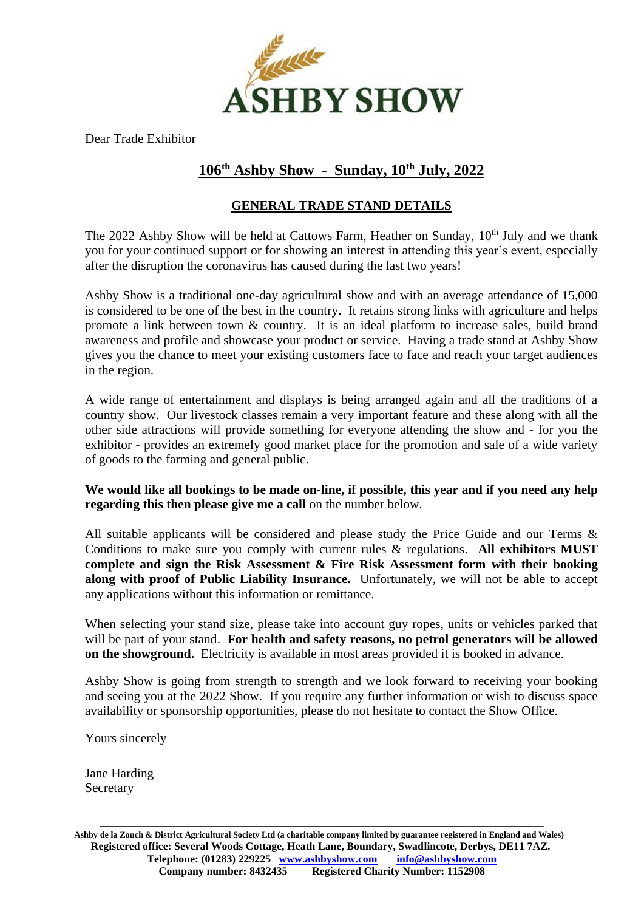

Dear Trade Exhibitor

### **106 th Ashby Show - Sunday, 10 th July, 2022**

#### **GENERAL TRADE STAND DETAILS**

The 2022 Ashby Show will be held at Cattows Farm, Heather on Sunday, 10<sup>th</sup> July and we thank you for your continued support or for showing an interest in attending this year's event, especially after the disruption the coronavirus has caused during the last two years!

Ashby Show is a traditional one-day agricultural show and with an average attendance of 15,000 is considered to be one of the best in the country. It retains strong links with agriculture and helps promote a link between town & country. It is an ideal platform to increase sales, build brand awareness and profile and showcase your product or service. Having a trade stand at Ashby Show gives you the chance to meet your existing customers face to face and reach your target audiences in the region.

A wide range of entertainment and displays is being arranged again and all the traditions of a country show. Our livestock classes remain a very important feature and these along with all the other side attractions will provide something for everyone attending the show and - for you the exhibitor - provides an extremely good market place for the promotion and sale of a wide variety of goods to the farming and general public.

**We would like all bookings to be made on-line, if possible, this year and if you need any help regarding this then please give me a call** on the number below.

All suitable applicants will be considered and please study the Price Guide and our Terms & Conditions to make sure you comply with current rules & regulations. **All exhibitors MUST complete and sign the Risk Assessment & Fire Risk Assessment form with their booking along with proof of Public Liability Insurance.** Unfortunately, we will not be able to accept any applications without this information or remittance.

When selecting your stand size, please take into account guy ropes, units or vehicles parked that will be part of your stand. **For health and safety reasons, no petrol generators will be allowed on the showground.** Electricity is available in most areas provided it is booked in advance.

Ashby Show is going from strength to strength and we look forward to receiving your booking and seeing you at the 2022 Show. If you require any further information or wish to discuss space availability or sponsorship opportunities, please do not hesitate to contact the Show Office.

Yours sincerely

Jane Harding Secretary

**Ashby de la Zouch & District Agricultural Society Ltd (a charitable company limited by guarantee registered in England and Wales) Registered office: Several Woods Cottage, Heath Lane, Boundary, Swadlincote, Derbys, DE11 7AZ. Telephone: (01283) 229225 [www.ashbyshow.com](http://www.ashbyshow.com/) [info@ashbyshow.com](mailto:info@ashbyshow.com) Company number: 8432435 Registered Charity Number: 1152908**

**\_\_\_\_\_\_\_\_\_\_\_\_\_\_\_\_\_\_\_\_\_\_\_\_\_\_\_\_\_\_\_\_\_\_\_\_\_\_\_\_\_\_\_\_\_\_\_\_\_\_\_\_\_\_\_\_\_\_\_\_\_\_\_\_\_\_\_\_\_\_\_\_\_\_\_\_\_\_\_\_\_\_**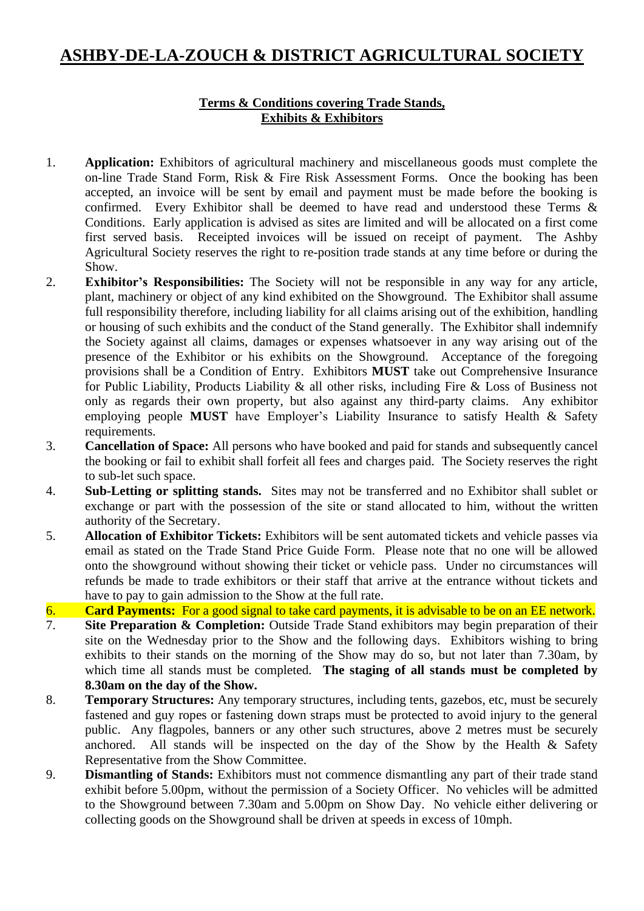# **ASHBY-DE-LA-ZOUCH & DISTRICT AGRICULTURAL SOCIETY**

#### **Terms & Conditions covering Trade Stands, Exhibits & Exhibitors**

- 1. **Application:** Exhibitors of agricultural machinery and miscellaneous goods must complete the on-line Trade Stand Form, Risk & Fire Risk Assessment Forms. Once the booking has been accepted, an invoice will be sent by email and payment must be made before the booking is confirmed. Every Exhibitor shall be deemed to have read and understood these Terms & Conditions. Early application is advised as sites are limited and will be allocated on a first come first served basis. Receipted invoices will be issued on receipt of payment. The Ashby Agricultural Society reserves the right to re-position trade stands at any time before or during the Show.
- 2. **Exhibitor's Responsibilities:** The Society will not be responsible in any way for any article, plant, machinery or object of any kind exhibited on the Showground. The Exhibitor shall assume full responsibility therefore, including liability for all claims arising out of the exhibition, handling or housing of such exhibits and the conduct of the Stand generally. The Exhibitor shall indemnify the Society against all claims, damages or expenses whatsoever in any way arising out of the presence of the Exhibitor or his exhibits on the Showground. Acceptance of the foregoing provisions shall be a Condition of Entry. Exhibitors **MUST** take out Comprehensive Insurance for Public Liability, Products Liability & all other risks, including Fire & Loss of Business not only as regards their own property, but also against any third-party claims. Any exhibitor employing people **MUST** have Employer's Liability Insurance to satisfy Health & Safety requirements.
- 3. **Cancellation of Space:** All persons who have booked and paid for stands and subsequently cancel the booking or fail to exhibit shall forfeit all fees and charges paid. The Society reserves the right to sub-let such space.
- 4. **Sub-Letting or splitting stands.** Sites may not be transferred and no Exhibitor shall sublet or exchange or part with the possession of the site or stand allocated to him, without the written authority of the Secretary.
- 5. **Allocation of Exhibitor Tickets:** Exhibitors will be sent automated tickets and vehicle passes via email as stated on the Trade Stand Price Guide Form. Please note that no one will be allowed onto the showground without showing their ticket or vehicle pass. Under no circumstances will refunds be made to trade exhibitors or their staff that arrive at the entrance without tickets and have to pay to gain admission to the Show at the full rate.
- 6. **Card Payments:** For a good signal to take card payments, it is advisable to be on an EE network.
- 7. **Site Preparation & Completion:** Outside Trade Stand exhibitors may begin preparation of their site on the Wednesday prior to the Show and the following days. Exhibitors wishing to bring exhibits to their stands on the morning of the Show may do so, but not later than 7.30am, by which time all stands must be completed. **The staging of all stands must be completed by 8.30am on the day of the Show.**
- 8. **Temporary Structures:** Any temporary structures, including tents, gazebos, etc, must be securely fastened and guy ropes or fastening down straps must be protected to avoid injury to the general public. Any flagpoles, banners or any other such structures, above 2 metres must be securely anchored. All stands will be inspected on the day of the Show by the Health & Safety Representative from the Show Committee.
- 9. **Dismantling of Stands:** Exhibitors must not commence dismantling any part of their trade stand exhibit before 5.00pm, without the permission of a Society Officer. No vehicles will be admitted to the Showground between 7.30am and 5.00pm on Show Day. No vehicle either delivering or collecting goods on the Showground shall be driven at speeds in excess of 10mph.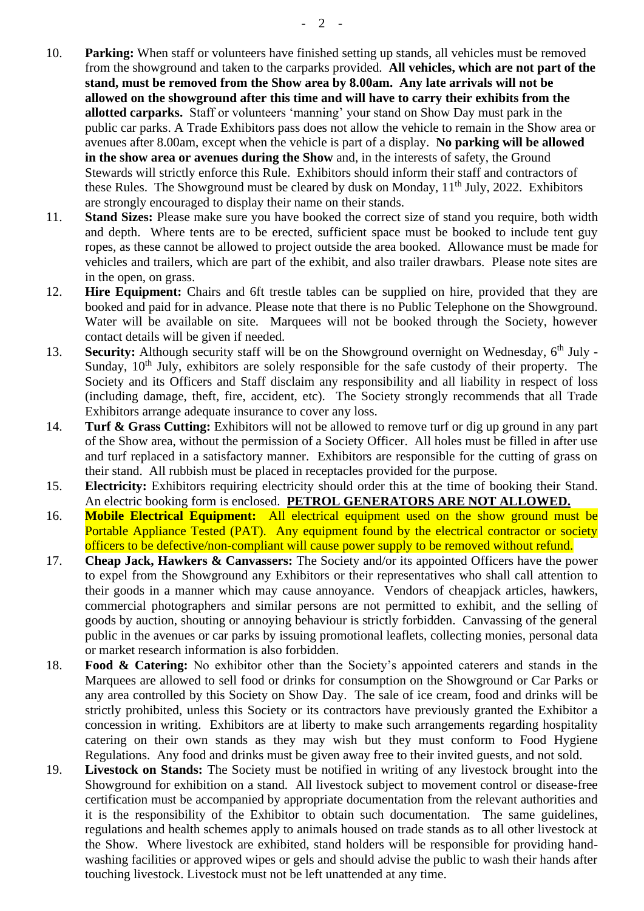- 10. **Parking:** When staff or volunteers have finished setting up stands, all vehicles must be removed from the showground and taken to the carparks provided. **All vehicles, which are not part of the stand, must be removed from the Show area by 8.00am. Any late arrivals will not be allowed on the showground after this time and will have to carry their exhibits from the allotted carparks.** Staff or volunteers 'manning' your stand on Show Day must park in the public car parks. A Trade Exhibitors pass does not allow the vehicle to remain in the Show area or avenues after 8.00am, except when the vehicle is part of a display. **No parking will be allowed in the show area or avenues during the Show** and, in the interests of safety, the Ground Stewards will strictly enforce this Rule. Exhibitors should inform their staff and contractors of these Rules. The Showground must be cleared by dusk on Monday,  $11<sup>th</sup>$  July, 2022. Exhibitors are strongly encouraged to display their name on their stands.
- 11. **Stand Sizes:** Please make sure you have booked the correct size of stand you require, both width and depth. Where tents are to be erected, sufficient space must be booked to include tent guy ropes, as these cannot be allowed to project outside the area booked. Allowance must be made for vehicles and trailers, which are part of the exhibit, and also trailer drawbars. Please note sites are in the open, on grass.
- 12. **Hire Equipment:** Chairs and 6ft trestle tables can be supplied on hire, provided that they are booked and paid for in advance. Please note that there is no Public Telephone on the Showground. Water will be available on site. Marquees will not be booked through the Society, however contact details will be given if needed.
- 13. **Security:** Although security staff will be on the Showground overnight on Wednesday, 6<sup>th</sup> July -Sunday, 10<sup>th</sup> July, exhibitors are solely responsible for the safe custody of their property. The Society and its Officers and Staff disclaim any responsibility and all liability in respect of loss (including damage, theft, fire, accident, etc). The Society strongly recommends that all Trade Exhibitors arrange adequate insurance to cover any loss.
- 14. **Turf & Grass Cutting:** Exhibitors will not be allowed to remove turf or dig up ground in any part of the Show area, without the permission of a Society Officer. All holes must be filled in after use and turf replaced in a satisfactory manner. Exhibitors are responsible for the cutting of grass on their stand. All rubbish must be placed in receptacles provided for the purpose.
- 15. **Electricity:** Exhibitors requiring electricity should order this at the time of booking their Stand. An electric booking form is enclosed. **PETROL GENERATORS ARE NOT ALLOWED.**
- 16. **Mobile Electrical Equipment:** All electrical equipment used on the show ground must be Portable Appliance Tested (PAT). Any equipment found by the electrical contractor or society officers to be defective/non-compliant will cause power supply to be removed without refund.
- 17. **Cheap Jack, Hawkers & Canvassers:** The Society and/or its appointed Officers have the power to expel from the Showground any Exhibitors or their representatives who shall call attention to their goods in a manner which may cause annoyance. Vendors of cheapjack articles, hawkers, commercial photographers and similar persons are not permitted to exhibit, and the selling of goods by auction, shouting or annoying behaviour is strictly forbidden. Canvassing of the general public in the avenues or car parks by issuing promotional leaflets, collecting monies, personal data or market research information is also forbidden.
- 18. **Food & Catering:** No exhibitor other than the Society's appointed caterers and stands in the Marquees are allowed to sell food or drinks for consumption on the Showground or Car Parks or any area controlled by this Society on Show Day. The sale of ice cream, food and drinks will be strictly prohibited, unless this Society or its contractors have previously granted the Exhibitor a concession in writing. Exhibitors are at liberty to make such arrangements regarding hospitality catering on their own stands as they may wish but they must conform to Food Hygiene Regulations. Any food and drinks must be given away free to their invited guests, and not sold.
- 19. **Livestock on Stands:** The Society must be notified in writing of any livestock brought into the Showground for exhibition on a stand. All livestock subject to movement control or disease-free certification must be accompanied by appropriate documentation from the relevant authorities and it is the responsibility of the Exhibitor to obtain such documentation. The same guidelines, regulations and health schemes apply to animals housed on trade stands as to all other livestock at the Show. Where livestock are exhibited, stand holders will be responsible for providing handwashing facilities or approved wipes or gels and should advise the public to wash their hands after touching livestock. Livestock must not be left unattended at any time.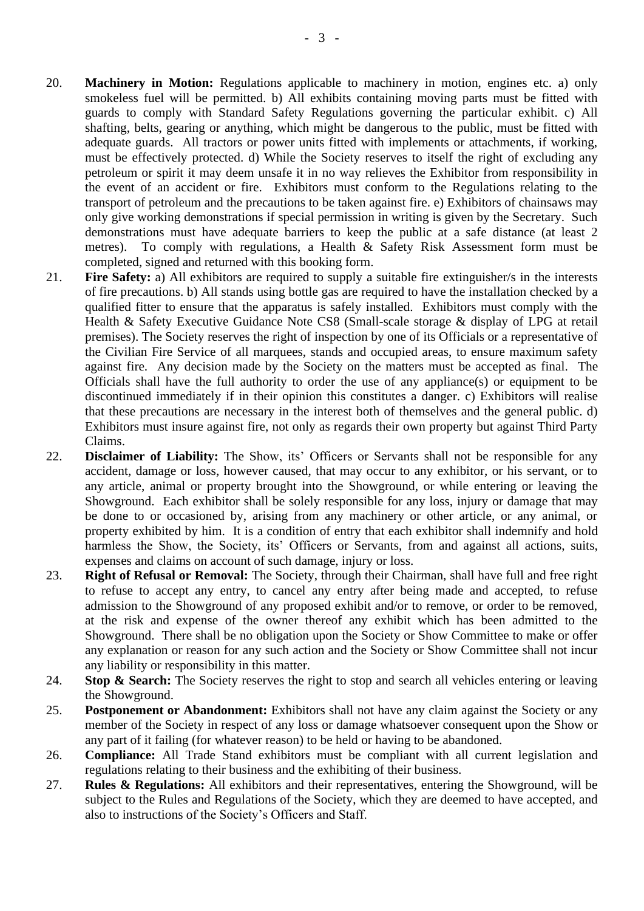- 20. **Machinery in Motion:** Regulations applicable to machinery in motion, engines etc. a) only smokeless fuel will be permitted. b) All exhibits containing moving parts must be fitted with guards to comply with Standard Safety Regulations governing the particular exhibit. c) All shafting, belts, gearing or anything, which might be dangerous to the public, must be fitted with adequate guards. All tractors or power units fitted with implements or attachments, if working, must be effectively protected. d) While the Society reserves to itself the right of excluding any petroleum or spirit it may deem unsafe it in no way relieves the Exhibitor from responsibility in the event of an accident or fire. Exhibitors must conform to the Regulations relating to the transport of petroleum and the precautions to be taken against fire. e) Exhibitors of chainsaws may only give working demonstrations if special permission in writing is given by the Secretary. Such demonstrations must have adequate barriers to keep the public at a safe distance (at least 2 metres). To comply with regulations, a Health & Safety Risk Assessment form must be completed, signed and returned with this booking form.
- 21. **Fire Safety:** a) All exhibitors are required to supply a suitable fire extinguisher/s in the interests of fire precautions. b) All stands using bottle gas are required to have the installation checked by a qualified fitter to ensure that the apparatus is safely installed. Exhibitors must comply with the Health & Safety Executive Guidance Note CS8 (Small-scale storage & display of LPG at retail premises). The Society reserves the right of inspection by one of its Officials or a representative of the Civilian Fire Service of all marquees, stands and occupied areas, to ensure maximum safety against fire. Any decision made by the Society on the matters must be accepted as final. The Officials shall have the full authority to order the use of any appliance(s) or equipment to be discontinued immediately if in their opinion this constitutes a danger. c) Exhibitors will realise that these precautions are necessary in the interest both of themselves and the general public. d) Exhibitors must insure against fire, not only as regards their own property but against Third Party Claims.
- 22. **Disclaimer of Liability:** The Show, its' Officers or Servants shall not be responsible for any accident, damage or loss, however caused, that may occur to any exhibitor, or his servant, or to any article, animal or property brought into the Showground, or while entering or leaving the Showground. Each exhibitor shall be solely responsible for any loss, injury or damage that may be done to or occasioned by, arising from any machinery or other article, or any animal, or property exhibited by him. It is a condition of entry that each exhibitor shall indemnify and hold harmless the Show, the Society, its' Officers or Servants, from and against all actions, suits, expenses and claims on account of such damage, injury or loss.
- 23. **Right of Refusal or Removal:** The Society, through their Chairman, shall have full and free right to refuse to accept any entry, to cancel any entry after being made and accepted, to refuse admission to the Showground of any proposed exhibit and/or to remove, or order to be removed, at the risk and expense of the owner thereof any exhibit which has been admitted to the Showground. There shall be no obligation upon the Society or Show Committee to make or offer any explanation or reason for any such action and the Society or Show Committee shall not incur any liability or responsibility in this matter.
- 24. **Stop & Search:** The Society reserves the right to stop and search all vehicles entering or leaving the Showground.
- 25. **Postponement or Abandonment:** Exhibitors shall not have any claim against the Society or any member of the Society in respect of any loss or damage whatsoever consequent upon the Show or any part of it failing (for whatever reason) to be held or having to be abandoned.
- 26. **Compliance:** All Trade Stand exhibitors must be compliant with all current legislation and regulations relating to their business and the exhibiting of their business.
- 27. **Rules & Regulations:** All exhibitors and their representatives, entering the Showground, will be subject to the Rules and Regulations of the Society, which they are deemed to have accepted, and also to instructions of the Society's Officers and Staff.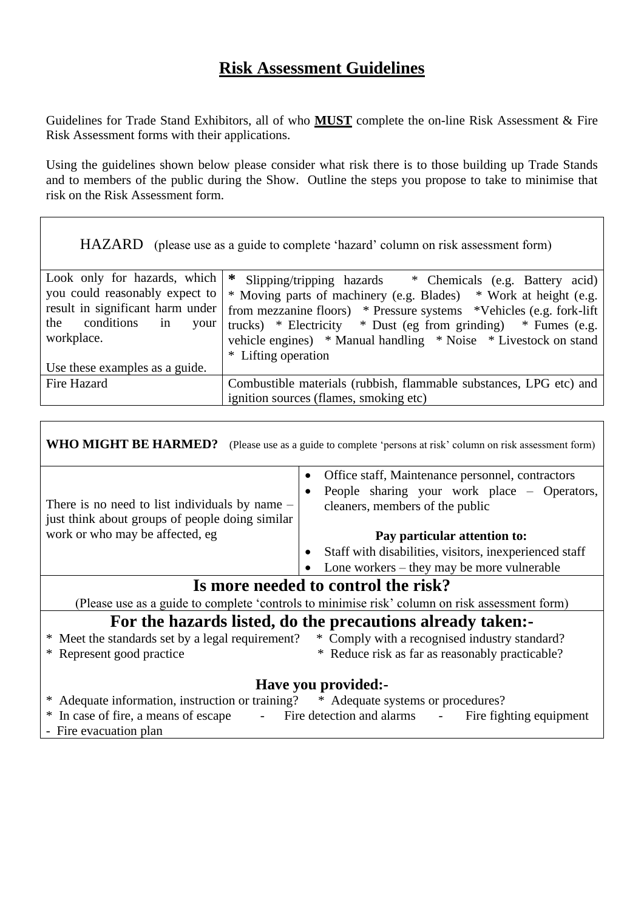## **Risk Assessment Guidelines**

Guidelines for Trade Stand Exhibitors, all of who **MUST** complete the on-line Risk Assessment & Fire Risk Assessment forms with their applications.

Using the guidelines shown below please consider what risk there is to those building up Trade Stands and to members of the public during the Show. Outline the steps you propose to take to minimise that risk on the Risk Assessment form.

|                                                                                                                                                                                       | HAZARD (please use as a guide to complete 'hazard' column on risk assessment form)                                                                                                                                                                                                                                                                                    |
|---------------------------------------------------------------------------------------------------------------------------------------------------------------------------------------|-----------------------------------------------------------------------------------------------------------------------------------------------------------------------------------------------------------------------------------------------------------------------------------------------------------------------------------------------------------------------|
| Look only for hazards, which<br>you could reasonably expect to<br>result in significant harm under<br>conditions<br>the<br>in<br>your<br>workplace.<br>Use these examples as a guide. | ∗<br>Slipping/tripping hazards * Chemicals (e.g. Battery acid)<br>* Moving parts of machinery (e.g. Blades) * Work at height (e.g.<br>from mezzanine floors) * Pressure systems *Vehicles (e.g. fork-lift)<br>trucks) * Electricity * Dust (eg from grinding) * Fumes (e.g.<br>vehicle engines) * Manual handling * Noise * Livestock on stand<br>* Lifting operation |
| Fire Hazard                                                                                                                                                                           | Combustible materials (rubbish, flammable substances, LPG etc) and<br>ignition sources (flames, smoking etc)                                                                                                                                                                                                                                                          |

**WHO MIGHT BE HARMED?** (Please use as a guide to complete 'persons at risk' column on risk assessment form) There is no need to list individuals by name – just think about groups of people doing similar work or who may be affected, eg • Office staff, Maintenance personnel, contractors • People sharing your work place – Operators, cleaners, members of the public **Pay particular attention to:** • Staff with disabilities, visitors, inexperienced staff • Lone workers – they may be more vulnerable **Is more needed to control the risk?** (Please use as a guide to complete 'controls to minimise risk' column on risk assessment form) **For the hazards listed, do the precautions already taken:-** \* Meet the standards set by a legal requirement? \* Comply with a recognised industry standard? \* Represent good practice \* Reduce risk as far as reasonably practicable? **Have you provided:-** \* Adequate information, instruction or training? \* Adequate systems or procedures? \* In case of fire, a means of escape - Fire detection and alarms - Fire fighting equipment Fire evacuation plan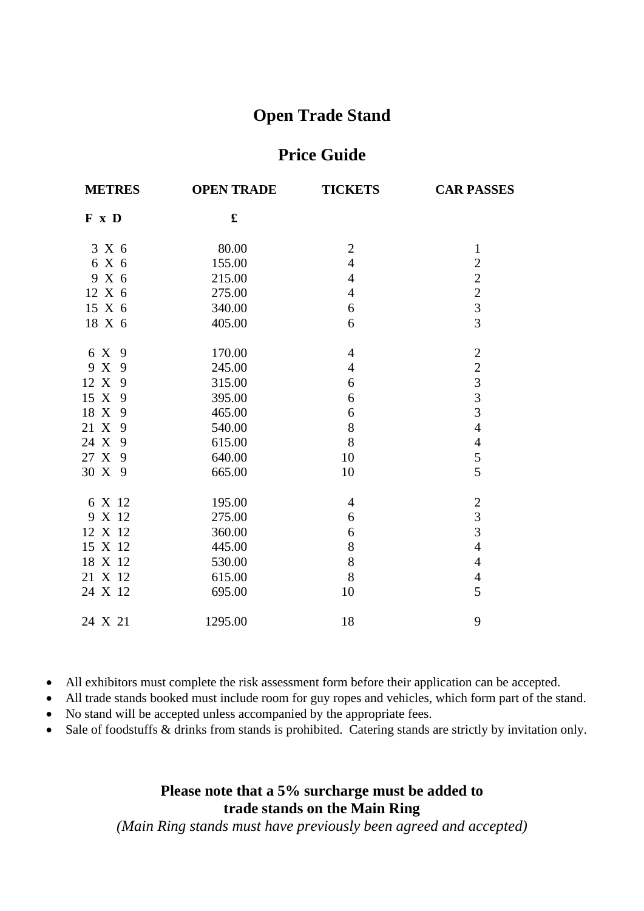# **Open Trade Stand**

### **Price Guide**

| <b>METRES</b> | <b>OPEN TRADE</b> | <b>TICKETS</b> | <b>CAR PASSES</b>                               |
|---------------|-------------------|----------------|-------------------------------------------------|
| F x D         | £                 |                |                                                 |
| 3 X 6         | 80.00             | $\mathbf{2}$   | $\mathbf{1}$                                    |
| 6 X 6         | 155.00            | $\overline{4}$ | $\overline{c}$                                  |
| 9 X 6         | 215.00            | $\overline{4}$ |                                                 |
| 12 X 6        | 275.00            | $\overline{4}$ |                                                 |
| 15 X 6        | 340.00            | 6              | $\begin{array}{c} 2 \\ 2 \\ 3 \\ 3 \end{array}$ |
| 18 X 6        | 405.00            | 6              |                                                 |
| 6 X<br>9      | 170.00            | $\overline{4}$ | $\overline{c}$                                  |
| 9 X 9         | 245.00            | $\overline{4}$ |                                                 |
| 12 X<br>9     | 315.00            | 6              | $\begin{array}{c} 2 \\ 3 \\ 3 \\ 3 \end{array}$ |
| 15 X 9        | 395.00            | 6              |                                                 |
| 18 X<br>9     | 465.00            | 6              |                                                 |
| 21 X 9        | 540.00            | 8              | $\overline{4}$                                  |
| 24 X<br>9     | 615.00            | 8              | $\overline{\mathcal{L}}$                        |
| 27 X 9        | 640.00            | 10             | $\frac{5}{5}$                                   |
| 30 X 9        | 665.00            | 10             |                                                 |
| 6 X 12        | 195.00            | $\overline{4}$ |                                                 |
| 9 X 12        | 275.00            | 6              | $\frac{2}{3}$                                   |
| 12 X 12       | 360.00            | 6              | $\overline{3}$                                  |
| 15 X 12       | 445.00            | 8              | $\overline{4}$                                  |
| 18 X 12       | 530.00            | 8              | $\overline{4}$                                  |
| 21 X 12       | 615.00            | 8              | $\overline{4}$                                  |
| 24 X 12       | 695.00            | 10             | 5                                               |
| 24 X 21       | 1295.00           | 18             | 9                                               |

- All exhibitors must complete the risk assessment form before their application can be accepted.
- All trade stands booked must include room for guy ropes and vehicles, which form part of the stand.
- No stand will be accepted unless accompanied by the appropriate fees.
- Sale of foodstuffs & drinks from stands is prohibited. Catering stands are strictly by invitation only.

### **Please note that a 5% surcharge must be added to trade stands on the Main Ring**

*(Main Ring stands must have previously been agreed and accepted)*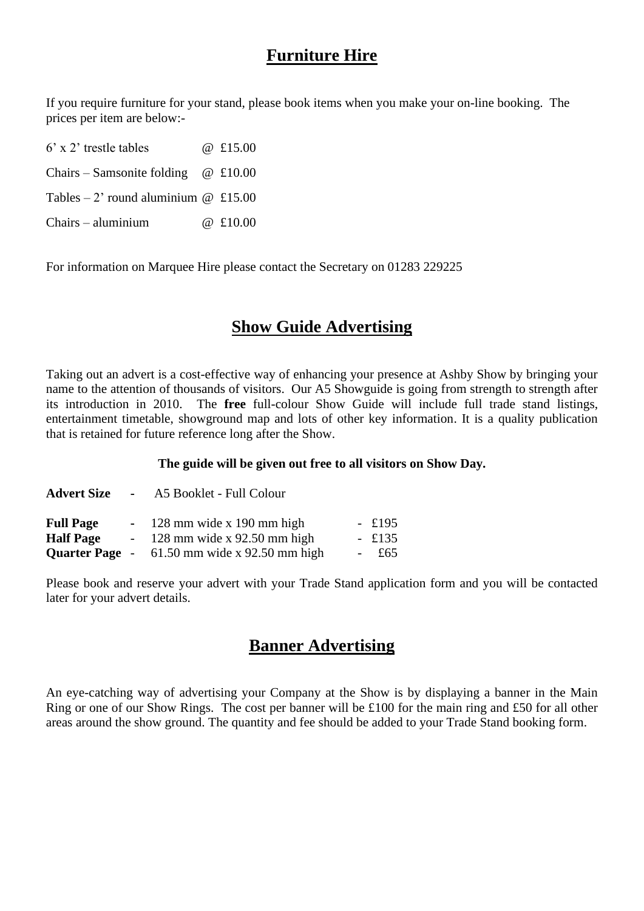# **Furniture Hire**

If you require furniture for your stand, please book items when you make your on-line booking. The prices per item are below:-

 $6'$  x 2' trestle tables  $\omega$  £15.00 Chairs – Samsonite folding  $@$  £10.00 Tables – 2' round aluminium  $\omega$  £15.00  $Chairs = \text{aluminium}$   $@ f10.00$ 

For information on Marquee Hire please contact the Secretary on 01283 229225

# **Show Guide Advertising**

Taking out an advert is a cost-effective way of enhancing your presence at Ashby Show by bringing your name to the attention of thousands of visitors. Our A5 Showguide is going from strength to strength after its introduction in 2010. The **free** full-colour Show Guide will include full trade stand listings, entertainment timetable, showground map and lots of other key information. It is a quality publication that is retained for future reference long after the Show.

#### **The guide will be given out free to all visitors on Show Day.**

| <b>Advert Size</b> | - A5 Booklet - Full Colour                            |          |
|--------------------|-------------------------------------------------------|----------|
| <b>Full Page</b>   | $-128$ mm wide x 190 mm high                          | $-$ £195 |
| <b>Half Page</b>   | $-128$ mm wide x 92.50 mm high                        | $-$ £135 |
|                    | <b>Quarter Page</b> - $61.50$ mm wide x 92.50 mm high | $-$ £65  |

Please book and reserve your advert with your Trade Stand application form and you will be contacted later for your advert details.

### **Banner Advertising**

An eye-catching way of advertising your Company at the Show is by displaying a banner in the Main Ring or one of our Show Rings. The cost per banner will be £100 for the main ring and £50 for all other areas around the show ground. The quantity and fee should be added to your Trade Stand booking form.